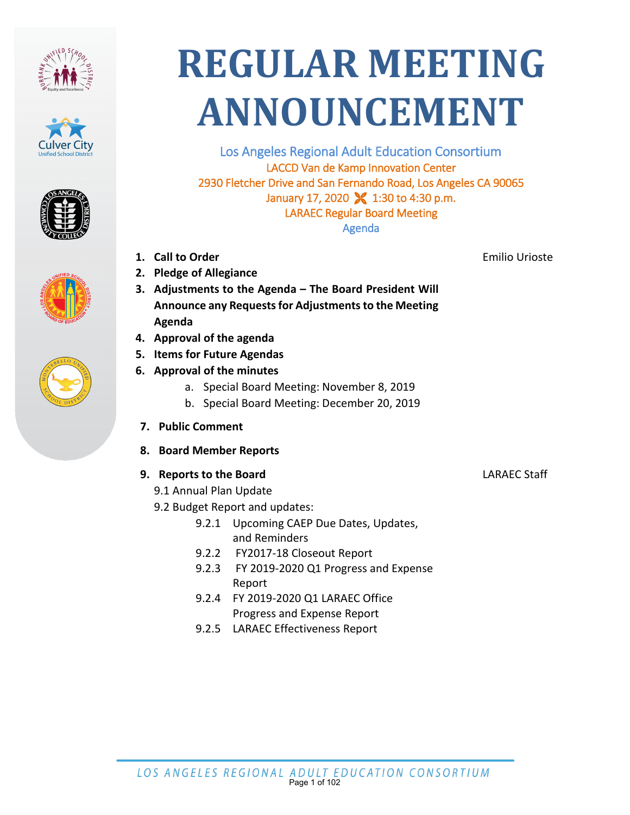









# **REGULAR MEETING ANNOUNCEMENT**

Los Angeles Regional Adult Education Consortium LACCD Van de Kamp Innovation Center 2930 Fletcher Drive and San Fernando Road, Los Angeles CA 90065 January 17, 2020  $\sqrt{ }$  1:30 to 4:30 p.m. LARAEC Regular Board Meeting Agenda

- **1. Call to Order**
- **2. Pledge of Allegiance**
- **3. Adjustments to the Agenda The Board President Will Announce any Requests for Adjustments to the Meeting Agenda**
- **4. Approval of the agenda**
- **5. Items for Future Agendas**
- **6. Approval of the minutes**
	- a. Special Board Meeting: November 8, 2019
	- b. Special Board Meeting: December 20, 2019
- **7. Public Comment**
- **8. Board Member Reports**

#### **9. Reports to the Board**

- 9.1 Annual Plan Update
- 9.2 Budget Report and updates:
	- 9.2.1 Upcoming CAEP Due Dates, Updates, and Reminders
	- 9.2.2 FY2017-18 Closeout Report
	- 9.2.3 FY 2019-2020 Q1 Progress and Expense Report
	- 9.2.4 FY 2019-2020 Q1 LARAEC Office Progress and Expense Report
	- 9.2.5 LARAEC Effectiveness Report

Emilio Urioste

LARAEC Staff